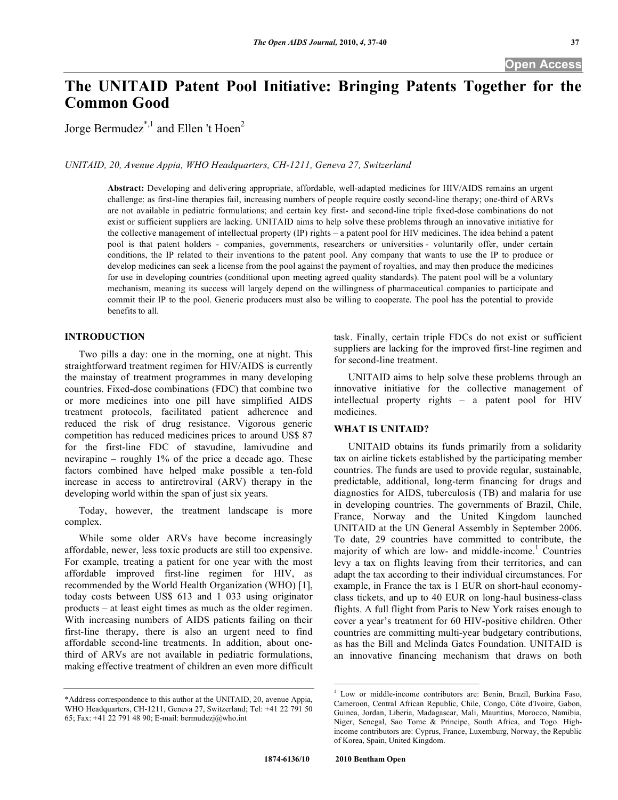# **The UNITAID Patent Pool Initiative: Bringing Patents Together for the Common Good**

Jorge Bermudez<sup>\*,1</sup> and Ellen 't Hoen<sup>2</sup>

*UNITAID, 20, Avenue Appia, WHO Headquarters, CH-1211, Geneva 27, Switzerland* 

**Abstract:** Developing and delivering appropriate, affordable, well-adapted medicines for HIV/AIDS remains an urgent challenge: as first-line therapies fail, increasing numbers of people require costly second-line therapy; one-third of ARVs are not available in pediatric formulations; and certain key first- and second-line triple fixed-dose combinations do not exist or sufficient suppliers are lacking. UNITAID aims to help solve these problems through an innovative initiative for the collective management of intellectual property (IP) rights – a patent pool for HIV medicines. The idea behind a patent pool is that patent holders - companies, governments, researchers or universities - voluntarily offer, under certain conditions, the IP related to their inventions to the patent pool. Any company that wants to use the IP to produce or develop medicines can seek a license from the pool against the payment of royalties, and may then produce the medicines for use in developing countries (conditional upon meeting agreed quality standards). The patent pool will be a voluntary mechanism, meaning its success will largely depend on the willingness of pharmaceutical companies to participate and commit their IP to the pool. Generic producers must also be willing to cooperate. The pool has the potential to provide benefits to all.

## **INTRODUCTION**

 Two pills a day: one in the morning, one at night. This straightforward treatment regimen for HIV/AIDS is currently the mainstay of treatment programmes in many developing countries. Fixed-dose combinations (FDC) that combine two or more medicines into one pill have simplified AIDS treatment protocols, facilitated patient adherence and reduced the risk of drug resistance. Vigorous generic competition has reduced medicines prices to around US\$ 87 for the first-line FDC of stavudine, lamivudine and nevirapine – roughly 1% of the price a decade ago. These factors combined have helped make possible a ten-fold increase in access to antiretroviral (ARV) therapy in the developing world within the span of just six years.

 Today, however, the treatment landscape is more complex.

 While some older ARVs have become increasingly affordable, newer, less toxic products are still too expensive. For example, treating a patient for one year with the most affordable improved first-line regimen for HIV, as recommended by the World Health Organization (WHO) [1], today costs between US\$ 613 and 1 033 using originator products – at least eight times as much as the older regimen. With increasing numbers of AIDS patients failing on their first-line therapy, there is also an urgent need to find affordable second-line treatments. In addition, about onethird of ARVs are not available in pediatric formulations, making effective treatment of children an even more difficult task. Finally, certain triple FDCs do not exist or sufficient suppliers are lacking for the improved first-line regimen and for second-line treatment.

 UNITAID aims to help solve these problems through an innovative initiative for the collective management of intellectual property rights – a patent pool for HIV medicines.

## **WHAT IS UNITAID?**

 UNITAID obtains its funds primarily from a solidarity tax on airline tickets established by the participating member countries. The funds are used to provide regular, sustainable, predictable, additional, long-term financing for drugs and diagnostics for AIDS, tuberculosis (TB) and malaria for use in developing countries. The governments of Brazil, Chile, France, Norway and the United Kingdom launched UNITAID at the UN General Assembly in September 2006. To date, 29 countries have committed to contribute, the majority of which are low- and middle-income.<sup>1</sup> Countries levy a tax on flights leaving from their territories, and can adapt the tax according to their individual circumstances. For example, in France the tax is 1 EUR on short-haul economyclass tickets, and up to 40 EUR on long-haul business-class flights. A full flight from Paris to New York raises enough to cover a year's treatment for 60 HIV-positive children. Other countries are committing multi-year budgetary contributions, as has the Bill and Melinda Gates Foundation. UNITAID is an innovative financing mechanism that draws on both

<sup>\*</sup>Address correspondence to this author at the UNITAID, 20, avenue Appia, WHO Headquarters, CH-1211, Geneva 27, Switzerland; Tel: +41 22 791 50 65; Fax: +41 22 791 48 90; E-mail: bermudezj@who.int

 1 Low or middle-income contributors are: Benin, Brazil, Burkina Faso, Cameroon, Central African Republic, Chile, Congo, Côte d'Ivoire, Gabon, Guinea, Jordan, Liberia, Madagascar, Mali, Mauritius, Morocco, Namibia, Niger, Senegal, Sao Tome & Principe, South Africa, and Togo. Highincome contributors are: Cyprus, France, Luxemburg, Norway, the Republic of Korea, Spain, United Kingdom.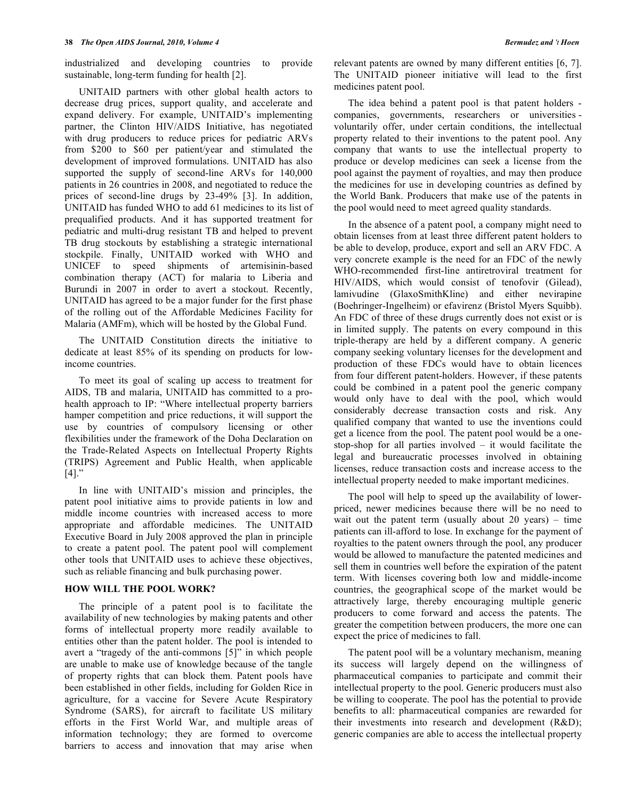industrialized and developing countries to provide sustainable, long-term funding for health [2].

 UNITAID partners with other global health actors to decrease drug prices, support quality, and accelerate and expand delivery. For example, UNITAID's implementing partner, the Clinton HIV/AIDS Initiative, has negotiated with drug producers to reduce prices for pediatric ARVs from \$200 to \$60 per patient/year and stimulated the development of improved formulations. UNITAID has also supported the supply of second-line ARVs for 140,000 patients in 26 countries in 2008, and negotiated to reduce the prices of second-line drugs by 23-49% [3]. In addition, UNITAID has funded WHO to add 61 medicines to its list of prequalified products. And it has supported treatment for pediatric and multi-drug resistant TB and helped to prevent TB drug stockouts by establishing a strategic international stockpile. Finally, UNITAID worked with WHO and UNICEF to speed shipments of artemisinin-based combination therapy (ACT) for malaria to Liberia and Burundi in 2007 in order to avert a stockout. Recently, UNITAID has agreed to be a major funder for the first phase of the rolling out of the Affordable Medicines Facility for Malaria (AMFm), which will be hosted by the Global Fund.

 The UNITAID Constitution directs the initiative to dedicate at least 85% of its spending on products for lowincome countries.

 To meet its goal of scaling up access to treatment for AIDS, TB and malaria, UNITAID has committed to a prohealth approach to IP: "Where intellectual property barriers hamper competition and price reductions, it will support the use by countries of compulsory licensing or other flexibilities under the framework of the Doha Declaration on the Trade-Related Aspects on Intellectual Property Rights (TRIPS) Agreement and Public Health, when applicable [4]."

 In line with UNITAID's mission and principles, the patent pool initiative aims to provide patients in low and middle income countries with increased access to more appropriate and affordable medicines. The UNITAID Executive Board in July 2008 approved the plan in principle to create a patent pool. The patent pool will complement other tools that UNITAID uses to achieve these objectives, such as reliable financing and bulk purchasing power.

## **HOW WILL THE POOL WORK?**

 The principle of a patent pool is to facilitate the availability of new technologies by making patents and other forms of intellectual property more readily available to entities other than the patent holder. The pool is intended to avert a "tragedy of the anti-commons [5]" in which people are unable to make use of knowledge because of the tangle of property rights that can block them. Patent pools have been established in other fields, including for Golden Rice in agriculture, for a vaccine for Severe Acute Respiratory Syndrome (SARS), for aircraft to facilitate US military efforts in the First World War, and multiple areas of information technology; they are formed to overcome barriers to access and innovation that may arise when

relevant patents are owned by many different entities [6, 7]. The UNITAID pioneer initiative will lead to the first medicines patent pool.

 The idea behind a patent pool is that patent holders companies, governments, researchers or universities voluntarily offer, under certain conditions, the intellectual property related to their inventions to the patent pool. Any company that wants to use the intellectual property to produce or develop medicines can seek a license from the pool against the payment of royalties, and may then produce the medicines for use in developing countries as defined by the World Bank. Producers that make use of the patents in the pool would need to meet agreed quality standards.

 In the absence of a patent pool, a company might need to obtain licenses from at least three different patent holders to be able to develop, produce, export and sell an ARV FDC. A very concrete example is the need for an FDC of the newly WHO-recommended first-line antiretroviral treatment for HIV/AIDS, which would consist of tenofovir (Gilead), lamivudine (GlaxoSmithKline) and either nevirapine (Boehringer-Ingelheim) or efavirenz (Bristol Myers Squibb). An FDC of three of these drugs currently does not exist or is in limited supply. The patents on every compound in this triple-therapy are held by a different company. A generic company seeking voluntary licenses for the development and production of these FDCs would have to obtain licences from four different patent-holders. However, if these patents could be combined in a patent pool the generic company would only have to deal with the pool, which would considerably decrease transaction costs and risk. Any qualified company that wanted to use the inventions could get a licence from the pool. The patent pool would be a onestop-shop for all parties involved – it would facilitate the legal and bureaucratic processes involved in obtaining licenses, reduce transaction costs and increase access to the intellectual property needed to make important medicines.

 The pool will help to speed up the availability of lowerpriced, newer medicines because there will be no need to wait out the patent term (usually about  $20$  years) – time patients can ill-afford to lose. In exchange for the payment of royalties to the patent owners through the pool, any producer would be allowed to manufacture the patented medicines and sell them in countries well before the expiration of the patent term. With licenses covering both low and middle-income countries, the geographical scope of the market would be attractively large, thereby encouraging multiple generic producers to come forward and access the patents. The greater the competition between producers, the more one can expect the price of medicines to fall.

 The patent pool will be a voluntary mechanism, meaning its success will largely depend on the willingness of pharmaceutical companies to participate and commit their intellectual property to the pool. Generic producers must also be willing to cooperate. The pool has the potential to provide benefits to all: pharmaceutical companies are rewarded for their investments into research and development (R&D); generic companies are able to access the intellectual property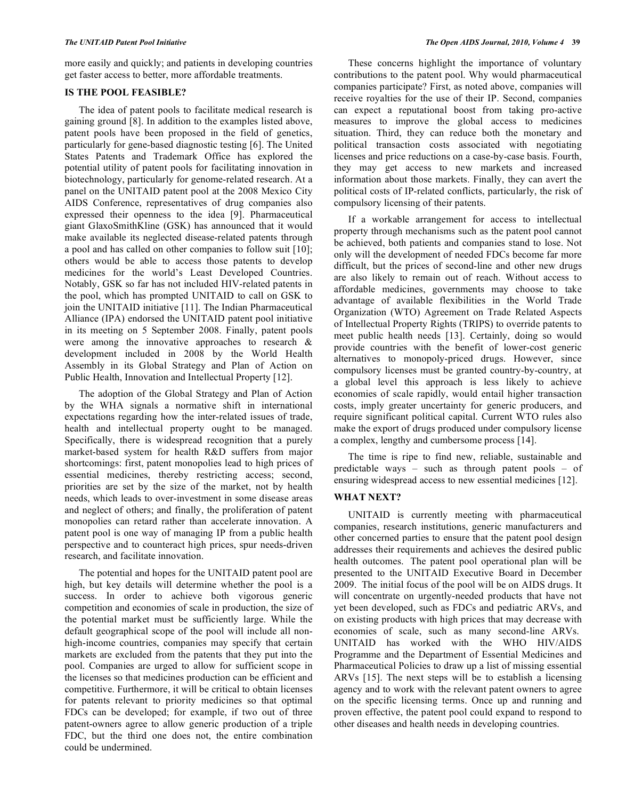more easily and quickly; and patients in developing countries get faster access to better, more affordable treatments.

### **IS THE POOL FEASIBLE?**

 The idea of patent pools to facilitate medical research is gaining ground [8]. In addition to the examples listed above, patent pools have been proposed in the field of genetics, particularly for gene-based diagnostic testing [6]. The United States Patents and Trademark Office has explored the potential utility of patent pools for facilitating innovation in biotechnology, particularly for genome-related research. At a panel on the UNITAID patent pool at the 2008 Mexico City AIDS Conference, representatives of drug companies also expressed their openness to the idea [9]. Pharmaceutical giant GlaxoSmithKline (GSK) has announced that it would make available its neglected disease-related patents through a pool and has called on other companies to follow suit [10]; others would be able to access those patents to develop medicines for the world's Least Developed Countries. Notably, GSK so far has not included HIV-related patents in the pool, which has prompted UNITAID to call on GSK to join the UNITAID initiative [11]. The Indian Pharmaceutical Alliance (IPA) endorsed the UNITAID patent pool initiative in its meeting on 5 September 2008. Finally, patent pools were among the innovative approaches to research  $\&$ development included in 2008 by the World Health Assembly in its Global Strategy and Plan of Action on Public Health, Innovation and Intellectual Property [12].

 The adoption of the Global Strategy and Plan of Action by the WHA signals a normative shift in international expectations regarding how the inter-related issues of trade, health and intellectual property ought to be managed. Specifically, there is widespread recognition that a purely market-based system for health R&D suffers from major shortcomings: first, patent monopolies lead to high prices of essential medicines, thereby restricting access; second, priorities are set by the size of the market, not by health needs, which leads to over-investment in some disease areas and neglect of others; and finally, the proliferation of patent monopolies can retard rather than accelerate innovation. A patent pool is one way of managing IP from a public health perspective and to counteract high prices, spur needs-driven research, and facilitate innovation.

 The potential and hopes for the UNITAID patent pool are high, but key details will determine whether the pool is a success. In order to achieve both vigorous generic competition and economies of scale in production, the size of the potential market must be sufficiently large. While the default geographical scope of the pool will include all nonhigh-income countries, companies may specify that certain markets are excluded from the patents that they put into the pool. Companies are urged to allow for sufficient scope in the licenses so that medicines production can be efficient and competitive. Furthermore, it will be critical to obtain licenses for patents relevant to priority medicines so that optimal FDCs can be developed; for example, if two out of three patent-owners agree to allow generic production of a triple FDC, but the third one does not, the entire combination could be undermined.

 These concerns highlight the importance of voluntary contributions to the patent pool. Why would pharmaceutical companies participate? First, as noted above, companies will receive royalties for the use of their IP. Second, companies can expect a reputational boost from taking pro-active measures to improve the global access to medicines situation. Third, they can reduce both the monetary and political transaction costs associated with negotiating licenses and price reductions on a case-by-case basis. Fourth, they may get access to new markets and increased information about those markets. Finally, they can avert the political costs of IP-related conflicts, particularly, the risk of compulsory licensing of their patents.

 If a workable arrangement for access to intellectual property through mechanisms such as the patent pool cannot be achieved, both patients and companies stand to lose. Not only will the development of needed FDCs become far more difficult, but the prices of second-line and other new drugs are also likely to remain out of reach. Without access to affordable medicines, governments may choose to take advantage of available flexibilities in the World Trade Organization (WTO) Agreement on Trade Related Aspects of Intellectual Property Rights (TRIPS) to override patents to meet public health needs [13]. Certainly, doing so would provide countries with the benefit of lower-cost generic alternatives to monopoly-priced drugs. However, since compulsory licenses must be granted country-by-country, at a global level this approach is less likely to achieve economies of scale rapidly, would entail higher transaction costs, imply greater uncertainty for generic producers, and require significant political capital. Current WTO rules also make the export of drugs produced under compulsory license a complex, lengthy and cumbersome process [14].

 The time is ripe to find new, reliable, sustainable and predictable ways – such as through patent pools – of ensuring widespread access to new essential medicines [12].

## **WHAT NEXT?**

 UNITAID is currently meeting with pharmaceutical companies, research institutions, generic manufacturers and other concerned parties to ensure that the patent pool design addresses their requirements and achieves the desired public health outcomes. The patent pool operational plan will be presented to the UNITAID Executive Board in December 2009. The initial focus of the pool will be on AIDS drugs. It will concentrate on urgently-needed products that have not yet been developed, such as FDCs and pediatric ARVs, and on existing products with high prices that may decrease with economies of scale, such as many second-line ARVs. UNITAID has worked with the WHO HIV/AIDS Programme and the Department of Essential Medicines and Pharmaceutical Policies to draw up a list of missing essential ARVs [15]. The next steps will be to establish a licensing agency and to work with the relevant patent owners to agree on the specific licensing terms. Once up and running and proven effective, the patent pool could expand to respond to other diseases and health needs in developing countries.